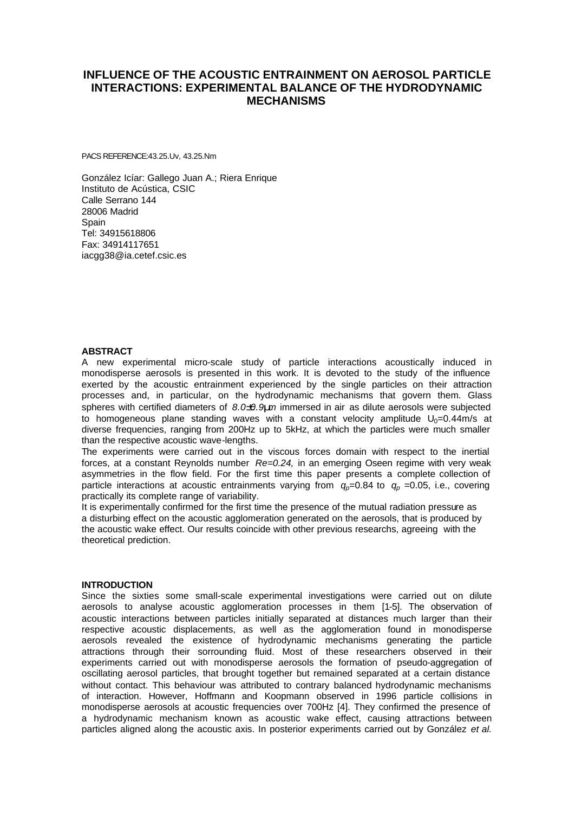# **INFLUENCE OF THE ACOUSTIC ENTRAINMENT ON AEROSOL PARTICLE INTERACTIONS: EXPERIMENTAL BALANCE OF THE HYDRODYNAMIC MECHANISMS**

PACS REFERENCE:43.25.Uv, 43.25.Nm

González Icíar: Gallego Juan A.; Riera Enrique Instituto de Acústica, CSIC Calle Serrano 144 28006 Madrid **Spain** Tel: 34915618806 Fax: 34914117651 iacgg38@ia.cetef.csic.es

#### **ABSTRACT**

A new experimental micro-scale study of particle interactions acoustically induced in monodisperse aerosols is presented in this work. It is devoted to the study of the influence exerted by the acoustic entrainment experienced by the single particles on their attraction processes and, in particular, on the hydrodynamic mechanisms that govern them. Glass spheres with certified diameters of *8.0±0.9mm* immersed in air as dilute aerosols were subjected to homogeneous plane standing waves with a constant velocity amplitude  $U_0=0.44$ m/s at diverse frequencies, ranging from 200Hz up to 5kHz, at which the particles were much smaller than the respective acoustic wave-lengths.

The experiments were carried out in the viscous forces domain with respect to the inertial forces, at a constant Reynolds number *Re=0.24,* in an emerging Oseen regime with very weak asymmetries in the flow field. For the first time this paper presents a complete collection of particle interactions at acoustic entrainments varying from  $q_p=0.84$  to  $q_p=0.05$ , i.e., covering practically its complete range of variability.

It is experimentally confirmed for the first time the presence of the mutual radiation pressure as a disturbing effect on the acoustic agglomeration generated on the aerosols, that is produced by the acoustic wake effect. Our results coincide with other previous researchs, agreeing with the theoretical prediction.

#### **INTRODUCTION**

Since the sixties some small-scale experimental investigations were carried out on dilute aerosols to analyse acoustic agglomeration processes in them [1-5]. The observation of acoustic interactions between particles initially separated at distances much larger than their respective acoustic displacements, as well as the agglomeration found in monodisperse aerosols revealed the existence of hydrodynamic mechanisms generating the particle attractions through their sorrounding fluid. Most of these researchers observed in their experiments carried out with monodisperse aerosols the formation of pseudo-aggregation of oscillating aerosol particles, that brought together but remained separated at a certain distance without contact. This behaviour was attributed to contrary balanced hydrodynamic mechanisms of interaction. However, Hoffmann and Koopmann observed in 1996 particle collisions in monodisperse aerosols at acoustic frequencies over 700Hz [4]. They confirmed the presence of a hydrodynamic mechanism known as acoustic wake effect, causing attractions between particles aligned along the acoustic axis. In posterior experiments carried out by González *et al.*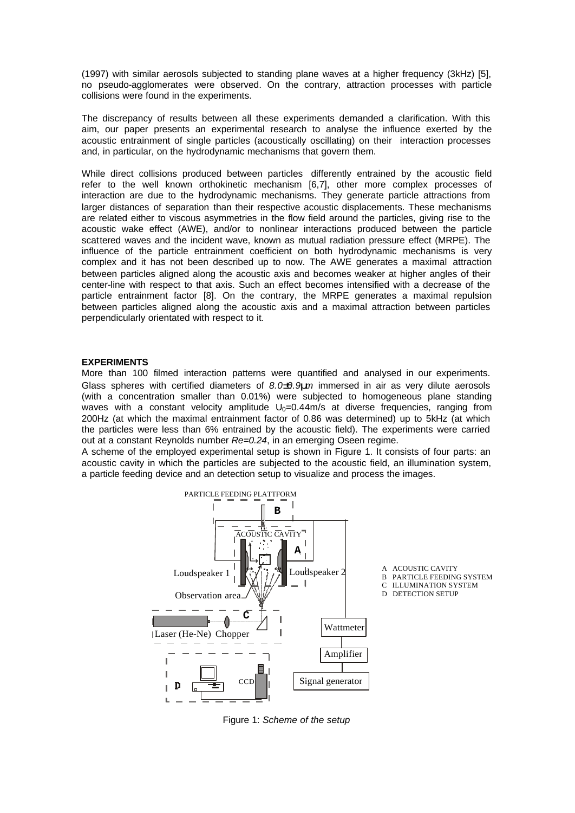(1997) with similar aerosols subjected to standing plane waves at a higher frequency (3kHz) [5], no pseudo-agglomerates were observed. On the contrary, attraction processes with particle collisions were found in the experiments.

The discrepancy of results between all these experiments demanded a clarification. With this aim, our paper presents an experimental research to analyse the influence exerted by the acoustic entrainment of single particles (acoustically oscillating) on their interaction processes and, in particular, on the hydrodynamic mechanisms that govern them.

While direct collisions produced between particles differently entrained by the acoustic field refer to the well known orthokinetic mechanism [6,7], other more complex processes of interaction are due to the hydrodynamic mechanisms. They generate particle attractions from larger distances of separation than their respective acoustic displacements. These mechanisms are related either to viscous asymmetries in the flow field around the particles, giving rise to the acoustic wake effect (AWE), and/or to nonlinear interactions produced between the particle scattered waves and the incident wave, known as mutual radiation pressure effect (MRPE). The influence of the particle entrainment coefficient on both hydrodynamic mechanisms is very complex and it has not been described up to now. The AWE generates a maximal attraction between particles aligned along the acoustic axis and becomes weaker at higher angles of their center-line with respect to that axis. Such an effect becomes intensified with a decrease of the particle entrainment factor [8]. On the contrary, the MRPE generates a maximal repulsion between particles aligned along the acoustic axis and a maximal attraction between particles perpendicularly orientated with respect to it.

# **EXPERIMENTS**

More than 100 filmed interaction patterns were quantified and analysed in our experiments. Glass spheres with certified diameters of *8.0±0.9mm* immersed in air as very dilute aerosols (with a concentration smaller than 0.01%) were subjected to homogeneous plane standing waves with a constant velocity amplitude  $U_0=0.44$  m/s at diverse frequencies, ranging from 200Hz (at which the maximal entrainment factor of 0.86 was determined) up to 5kHz (at which the particles were less than 6% entrained by the acoustic field). The experiments were carried out at a constant Reynolds number *Re=0.24*, in an emerging Oseen regime.

A scheme of the employed experimental setup is shown in Figure 1. It consists of four parts: an acoustic cavity in which the particles are subjected to the acoustic field, an illumination system, a particle feeding device and an detection setup to visualize and process the images.



Figure 1: *Scheme of the setup*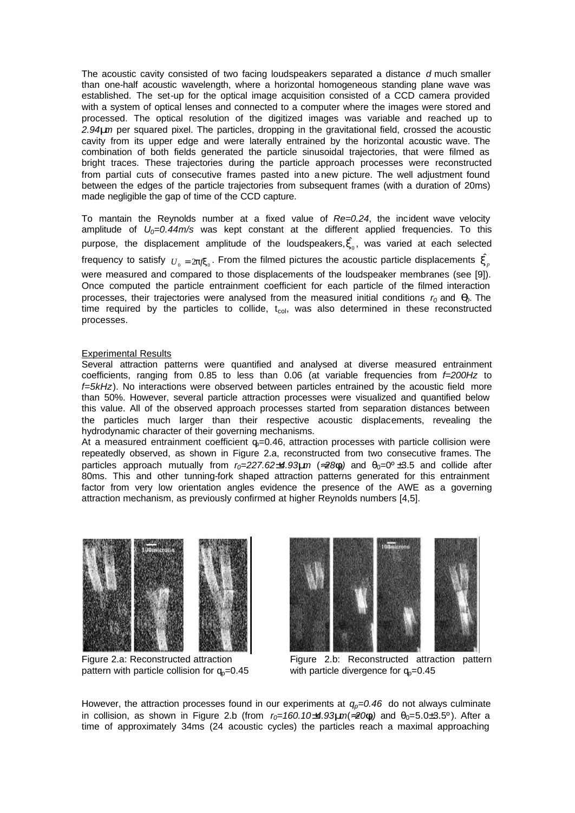The acoustic cavity consisted of two facing loudspeakers separated a distance *d* much smaller than one-half acoustic wavelength, where a horizontal homogeneous standing plane wave was established. The set-up for the optical image acquisition consisted of a CCD camera provided with a system of optical lenses and connected to a computer where the images were stored and processed. The optical resolution of the digitized images was variable and reached up to *2.94mm* per squared pixel. The particles, dropping in the gravitational field, crossed the acoustic cavity from its upper edge and were laterally entrained by the horizontal acoustic wave. The combination of both fields generated the particle sinusoidal trajectories, that were filmed as bright traces. These trajectories during the particle approach processes were reconstructed from partial cuts of consecutive frames pasted into a new picture. The well adjustment found between the edges of the particle trajectories from subsequent frames (with a duration of 20ms) made negligible the gap of time of the CCD capture.

To mantain the Reynolds number at a fixed value of *Re=0.24*, the incident wave velocity amplitude of *U0=0.44m/s* was kept constant at the different applied frequencies. To this purpose, the displacement amplitude of the loudspeakers, $\hat{\bm{x}_0}$ , was varied at each selected frequency to satisfy  $\stackrel{\textstyle{}}{U}_0 = 2$ p $\stackrel{\textstyle{}}{p}$ , From the filmed pictures the acoustic particle displacements  $\stackrel{\textstyle{}}{x}_p$ were measured and compared to those displacements of the loudspeaker membranes (see [9]). Once computed the particle entrainment coefficient for each particle of the filmed interaction processes, their trajectories were analysed from the measured initial conditions *r0* and *q0*. The time required by the particles to collide,  $t_{col}$ , was also determined in these reconstructed processes.

#### Experimental Results

Several attraction patterns were quantified and analysed at diverse measured entrainment coefficients, ranging from 0.85 to less than 0.06 (at variable frequencies from *f=200Hz* to *f=5kHz*). No interactions were observed between particles entrained by the acoustic field more than 50%. However, several particle attraction processes were visualized and quantified below this value. All of the observed approach processes started from separation distances between the particles much larger than their respective acoustic displacements, revealing the hydrodynamic character of their governing mechanisms.

At a measured entrainment coefficient  $q=0.46$ , attraction processes with particle collision were repeatedly observed, as shown in Figure 2.a, reconstructed from two consecutive frames. The particles approach mutually from  $r_0=227.62\pm4.93$ *mm* ( $\approx 28f_0^2$ ) and  $\theta_0=0^\circ\pm3.5$  and collide after 80ms. This and other tunning-fork shaped attraction patterns generated for this entrainment factor from very low orientation angles evidence the presence of the AWE as a governing attraction mechanism, as previously confirmed at higher Reynolds numbers [4,5].







Figure 2.b: Reconstructed attraction pattern with particle divergence for  $q_0$ =0.45

However, the attraction processes found in our experiments at  $q_p=0.46$  do not always culminate in collision, as shown in Figure 2.b (from  $r_0=160.10\pm4.93$ *mm*( $\gg 0$ **f**) and  $\theta_0=5.0\pm3.5^\circ$ ). After a time of approximately 34ms (24 acoustic cycles) the particles reach a maximal approaching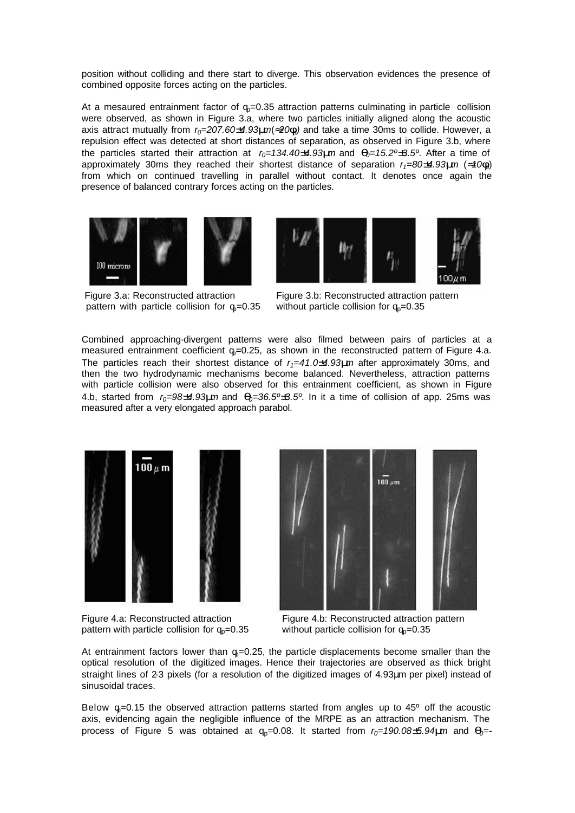position without colliding and there start to diverge. This observation evidences the presence of combined opposite forces acting on the particles.

At a mesaured entrainment factor of  $q_p=0.35$  attraction patterns culminating in particle collision were observed, as shown in Figure 3.a, where two particles initially aligned along the acoustic axis attract mutually from  $r_0=207.60\pm4.93$  *mm* $\approx 20$  *f*<sub>0</sub>) and take a time 30ms to collide. However, a repulsion effect was detected at short distances of separation, as observed in Figure 3.b, where the particles started their attraction at  $r_0 = 134.40 \pm 4.93$ *mm* and  $q_0 = 15.2^{\circ} \pm 3.5^{\circ}$ . After a time of approximately 30ms they reached their shortest distance of separation *r1=80±4.93mm* (*»10fp*) from which on continued travelling in parallel without contact. It denotes once again the presence of balanced contrary forces acting on the particles.







 Figure 3.a: Reconstructed attraction pattern with particle collision for  $q_0=0.35$ 

 Figure 3.b: Reconstructed attraction pattern without particle collision for  $q_p=0.35$ 

Combined approaching-divergent patterns were also filmed between pairs of particles at a measured entrainment coefficient  $q=0.25$ , as shown in the reconstructed pattern of Figure 4.a. The particles reach their shortest distance of *r1=41.0±4.93mm* after approximately 30ms, and then the two hydrodynamic mechanisms become balanced. Nevertheless, attraction patterns with particle collision were also observed for this entrainment coefficient, as shown in Figure 4.b, started from  $r_0=98 \pm 4.93$  *m* and  $q_0=36.5^{\circ} \pm 3.5^{\circ}$ . In it a time of collision of app. 25ms was measured after a very elongated approach parabol.





Figure 4.a: Reconstructed attraction pattern with particle collision for  $q_p=0.35$ 

 Figure 4.b: Reconstructed attraction pattern without particle collision for  $q_p=0.35$ 

At entrainment factors lower than  $q=0.25$ , the particle displacements become smaller than the optical resolution of the digitized images. Hence their trajectories are observed as thick bright straight lines of 2-3 pixels (for a resolution of the digitized images of 4.93μm per pixel) instead of sinusoidal traces.

Below  $g=0.15$  the observed attraction patterns started from angles up to  $45^\circ$  off the acoustic axis, evidencing again the negligible influence of the MRPE as an attraction mechanism. The process of Figure 5 was obtained at  $q_0$ =0.08. It started from  $r_0$ =190.08±5.94 $\mu$ m and  $q_0$ =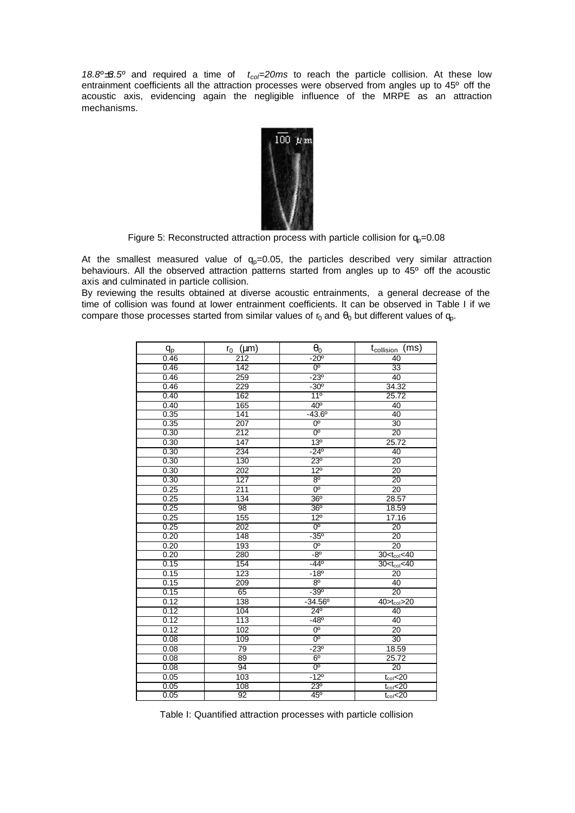*18.8°±3.5°* and required a time of  $t_{co}$ =20ms to reach the particle collision. At these low entrainment coefficients all the attraction processes were observed from angles up to 45º off the acoustic axis, evidencing again the negligible influence of the MRPE as an attraction mechanisms.



Figure 5: Reconstructed attraction process with particle collision for  $q_p=0.08$ 

At the smallest measured value of  $q_p=0.05$ , the particles described very similar attraction behaviours. All the observed attraction patterns started from angles up to 45º off the acoustic axis and culminated in particle collision.

By reviewing the results obtained at diverse acoustic entrainments, a general decrease of the time of collision was found at lower entrainment coefficients. It can be observed in Table I if we compare those processes started from similar values of  $r_0$  and  $\theta_0$  but different values of  $q_0$ .

| q <sub>p</sub> | $r_0$ ( $\mu$ m) | $\theta_0$       | (ms)<br>t <sub>collision</sub> |
|----------------|------------------|------------------|--------------------------------|
| 0.46           | 212              | $-20^{\circ}$    | 40                             |
| 0.46           | $\overline{142}$ | $0^{\circ}$      | $\overline{33}$                |
| 0.46           | 259              | $-23^{\circ}$    | 40                             |
| 0.46           | 229              | $-30^{\circ}$    | 34.32                          |
| 0.40           | 162              | 11 <sup>°</sup>  | 25.72                          |
| 0.40           | 165              | 40 <sup>o</sup>  | 40                             |
| 0.35           | 141              | $-43.6^{\circ}$  | 40                             |
| 0.35           | 207              | $0^{\circ}$      | 30                             |
| 0.30           | $\overline{212}$ | $0^{\circ}$      | 20                             |
| 0.30           | 147              | 13 <sup>0</sup>  | 25.72                          |
| 0.30           | 234              | $-24^{\circ}$    | 40                             |
| 0.30           | 130              | $23^{\circ}$     | $\overline{20}$                |
| 0.30           | 202              | $12^{\circ}$     | 20                             |
| 0.30           | 127              | 8 <sup>0</sup>   | 20                             |
| 0.25           | 211              | $0^{\circ}$      | 20                             |
| 0.25           | 134              | 36 <sup>o</sup>  | 28.57                          |
| 0.25           | 98               | 36 <sup>o</sup>  | 18.59                          |
| 0.25           | 155              | $12^{\circ}$     | 17.16                          |
| 0.25           | 202              | 0 <sup>o</sup>   | 20                             |
| 0.20           | 148              | $-35^{\circ}$    | 20                             |
| 0.20           | 193              | $0^{\circ}$      | 20                             |
| 0.20           | 280              | $-8^{\circ}$     | $30 < t_{\text{col}} < 40$     |
| 0.15           | 154              | $-44^{\circ}$    | $30 < t_{\text{col}} < 40$     |
| 0.15           | 123              | $-18^{\circ}$    | $\overline{20}$                |
| 0.15           | 209              | 8 <sup>o</sup>   | 40                             |
| 0.15           | 65               | $-39°$           | 20                             |
| 0.12           | 138              | $-34.56^{\circ}$ | $40$ <sub>col</sub> $>20$      |
| 0.12           | 104              | $24^{\circ}$     | 40                             |
| 0.12           | 113              | $-48^{\circ}$    | 40                             |
| 0.12           | 102              | $0^{\circ}$      | 20                             |
| 0.08           | 109              | $0^{\circ}$      | $\overline{30}$                |
| 0.08           | $\overline{79}$  | $-23^{\circ}$    | 18.59                          |
| 0.08           | 89               | 6 <sup>o</sup>   | 25.72                          |
| 0.08           | 94               | 0 <sup>o</sup>   | $\overline{20}$                |
| 0.05           | 103              | $-12^{\circ}$    | $t_{\text{col}}$ <20           |
| 0.05           | 108              | $23^{\circ}$     | $t_{\text{col}}$ <20           |
| 0.05           | 92               | $45^{\circ}$     | $t_{\text{col}}$ <20           |

Table I: Quantified attraction processes with particle collision